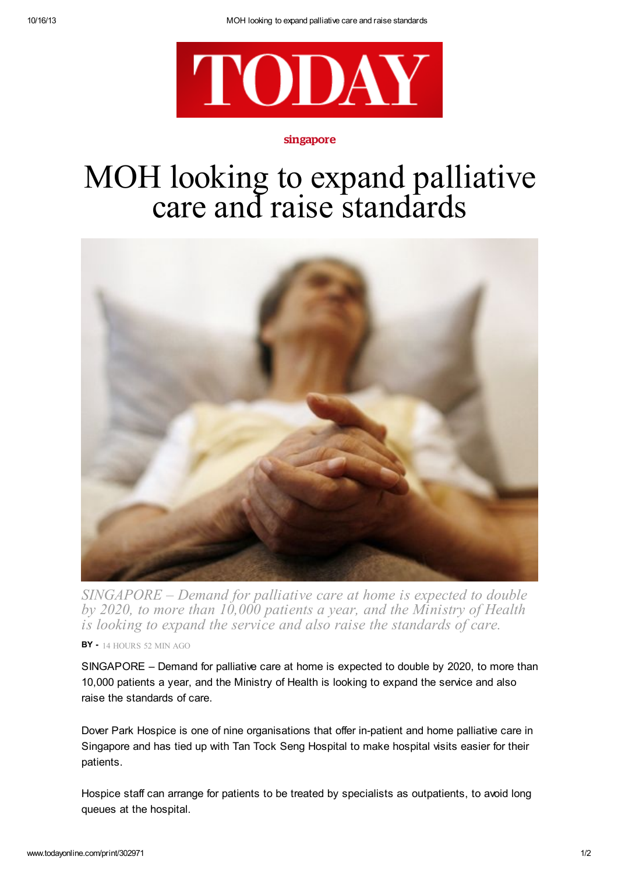

## singapore

## MOH looking to expand palliative care and raise standards



*SINGAPORE – Demand for palliative care at home is expected to double by 2020, to more than 10,000 patients a year, and the Ministry of Health is looking to expand the service and also raise the standards of care.*

BY - 14 HOURS 52 MIN AGO

SINGAPORE – Demand for palliative care at home is expected to double by 2020, to more than 10,000 patients a year, and the Ministry of Health is looking to expand the service and also raise the standards of care.

Dover Park Hospice is one of nine organisations that offer in-patient and home palliative care in Singapore and has tied up with Tan Tock Seng Hospital to make hospital visits easier for their patients.

Hospice staff can arrange for patients to be treated by specialists as outpatients, to avoid long queues at the hospital.